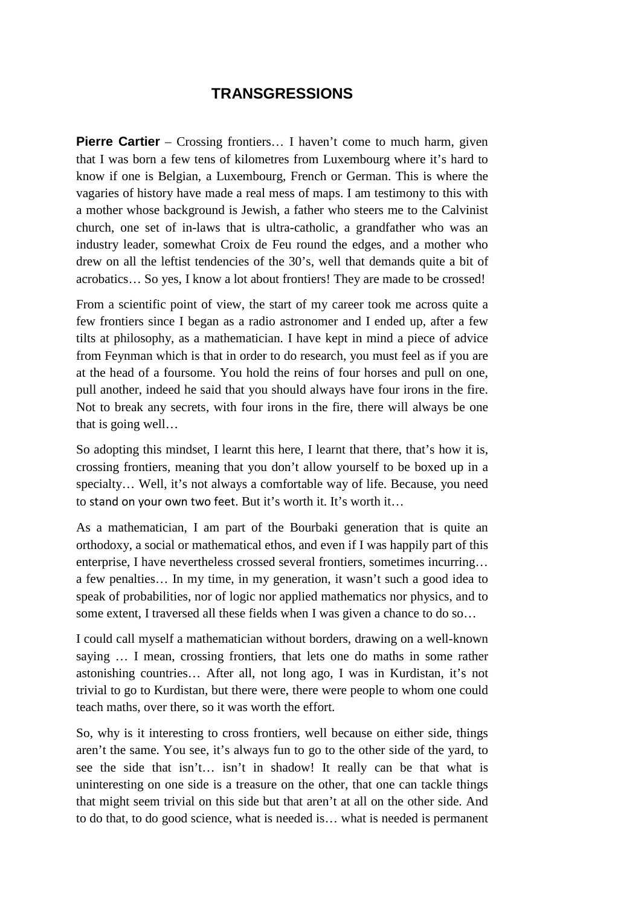## **TRANSGRESSIONS**

**Pierre Cartier** – Crossing frontiers... I haven't come to much harm, given that I was born a few tens of kilometres from Luxembourg where it's hard to know if one is Belgian, a Luxembourg, French or German. This is where the vagaries of history have made a real mess of maps. I am testimony to this with a mother whose background is Jewish, a father who steers me to the Calvinist church, one set of in-laws that is ultra-catholic, a grandfather who was an industry leader, somewhat Croix de Feu round the edges, and a mother who drew on all the leftist tendencies of the 30's, well that demands quite a bit of acrobatics… So yes, I know a lot about frontiers! They are made to be crossed!

From a scientific point of view, the start of my career took me across quite a few frontiers since I began as a radio astronomer and I ended up, after a few tilts at philosophy, as a mathematician. I have kept in mind a piece of advice from Feynman which is that in order to do research, you must feel as if you are at the head of a foursome. You hold the reins of four horses and pull on one, pull another, indeed he said that you should always have four irons in the fire. Not to break any secrets, with four irons in the fire, there will always be one that is going well…

So adopting this mindset, I learnt this here, I learnt that there, that's how it is, crossing frontiers, meaning that you don't allow yourself to be boxed up in a specialty… Well, it's not always a comfortable way of life. Because, you need to stand on your own two feet. But it's worth it. It's worth it…

As a mathematician, I am part of the Bourbaki generation that is quite an orthodoxy, a social or mathematical ethos, and even if I was happily part of this enterprise, I have nevertheless crossed several frontiers, sometimes incurring… a few penalties… In my time, in my generation, it wasn't such a good idea to speak of probabilities, nor of logic nor applied mathematics nor physics, and to some extent, I traversed all these fields when I was given a chance to do so…

I could call myself a mathematician without borders, drawing on a well-known saying … I mean, crossing frontiers, that lets one do maths in some rather astonishing countries… After all, not long ago, I was in Kurdistan, it's not trivial to go to Kurdistan, but there were, there were people to whom one could teach maths, over there, so it was worth the effort.

So, why is it interesting to cross frontiers, well because on either side, things aren't the same. You see, it's always fun to go to the other side of the yard, to see the side that isn't… isn't in shadow! It really can be that what is uninteresting on one side is a treasure on the other, that one can tackle things that might seem trivial on this side but that aren't at all on the other side. And to do that, to do good science, what is needed is… what is needed is permanent